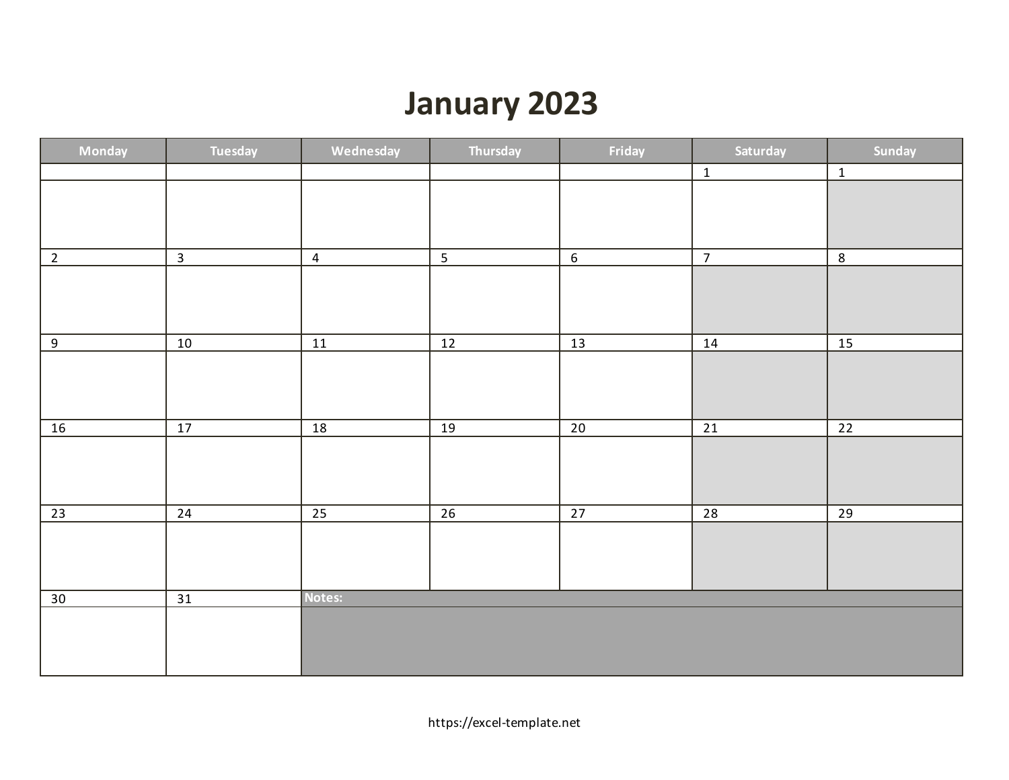# **January 2023**

| <b>Monday</b>   | Tuesday         | Wednesday       | Thursday        | Friday          | Saturday        | Sunday          |
|-----------------|-----------------|-----------------|-----------------|-----------------|-----------------|-----------------|
|                 |                 |                 |                 |                 | $\mathbf{1}$    | $\mathbf{1}$    |
|                 |                 |                 |                 |                 |                 |                 |
|                 |                 |                 |                 |                 |                 |                 |
|                 |                 |                 |                 |                 |                 |                 |
| $2^{\circ}$     | $\overline{3}$  | $\overline{4}$  | 5               | $6\phantom{.}6$ | $\overline{7}$  | $\,$ 8 $\,$     |
|                 |                 |                 |                 |                 |                 |                 |
|                 |                 |                 |                 |                 |                 |                 |
|                 |                 |                 |                 |                 |                 |                 |
| 9               | 10              | 11              | $12$            | 13              | 14              | <b>15</b>       |
|                 |                 |                 |                 |                 |                 |                 |
|                 |                 |                 |                 |                 |                 |                 |
|                 |                 |                 |                 |                 |                 |                 |
|                 |                 |                 |                 |                 |                 |                 |
| $\frac{16}{1}$  | 17              | 18              | 19              | $\overline{20}$ | $\overline{21}$ | $\overline{22}$ |
|                 |                 |                 |                 |                 |                 |                 |
|                 |                 |                 |                 |                 |                 |                 |
|                 |                 |                 |                 |                 |                 |                 |
| $\overline{23}$ | $\overline{24}$ | $\overline{25}$ | $\overline{26}$ | $\overline{27}$ | $\overline{28}$ | $\overline{29}$ |
|                 |                 |                 |                 |                 |                 |                 |
|                 |                 |                 |                 |                 |                 |                 |
|                 |                 |                 |                 |                 |                 |                 |
|                 |                 | Notes:          |                 |                 |                 |                 |
| 30              | $\overline{31}$ |                 |                 |                 |                 |                 |
|                 |                 |                 |                 |                 |                 |                 |
|                 |                 |                 |                 |                 |                 |                 |
|                 |                 |                 |                 |                 |                 |                 |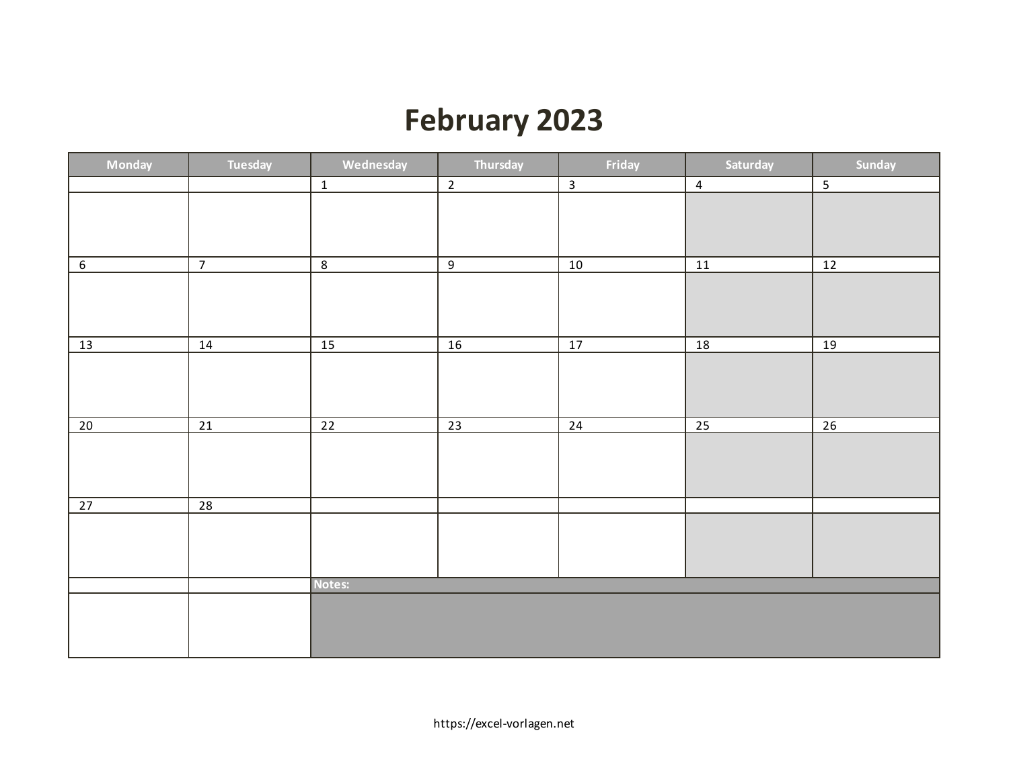## **February 2023**

| Monday | Tuesday         | Wednesday       | Thursday        | Friday       | Saturday        | Sunday          |
|--------|-----------------|-----------------|-----------------|--------------|-----------------|-----------------|
|        |                 | $\mathbf{1}$    | $\overline{2}$  | $\mathbf{3}$ | $\overline{4}$  | $\overline{5}$  |
|        |                 |                 |                 |              |                 |                 |
|        |                 |                 |                 |              |                 |                 |
|        |                 |                 |                 |              |                 |                 |
| $6\,$  | $\overline{7}$  | $\overline{8}$  | $\overline{9}$  | 10           | 11              | 12              |
|        |                 |                 |                 |              |                 |                 |
|        |                 |                 |                 |              |                 |                 |
|        |                 |                 |                 |              |                 |                 |
| 13     | 14              | <u>15</u>       | 16              | 17           | 18              | 19              |
|        |                 |                 |                 |              |                 |                 |
|        |                 |                 |                 |              |                 |                 |
|        |                 |                 |                 |              |                 |                 |
| 20     | $\overline{21}$ | $\overline{22}$ | $\overline{23}$ | 24           | $\overline{25}$ | $\overline{26}$ |
|        |                 |                 |                 |              |                 |                 |
|        |                 |                 |                 |              |                 |                 |
|        |                 |                 |                 |              |                 |                 |
|        |                 |                 |                 |              |                 |                 |
| 27     | $\overline{28}$ |                 |                 |              |                 |                 |
|        |                 |                 |                 |              |                 |                 |
|        |                 |                 |                 |              |                 |                 |
|        |                 |                 |                 |              |                 |                 |
|        |                 | Notes:          |                 |              |                 |                 |
|        |                 |                 |                 |              |                 |                 |
|        |                 |                 |                 |              |                 |                 |
|        |                 |                 |                 |              |                 |                 |
|        |                 |                 |                 |              |                 |                 |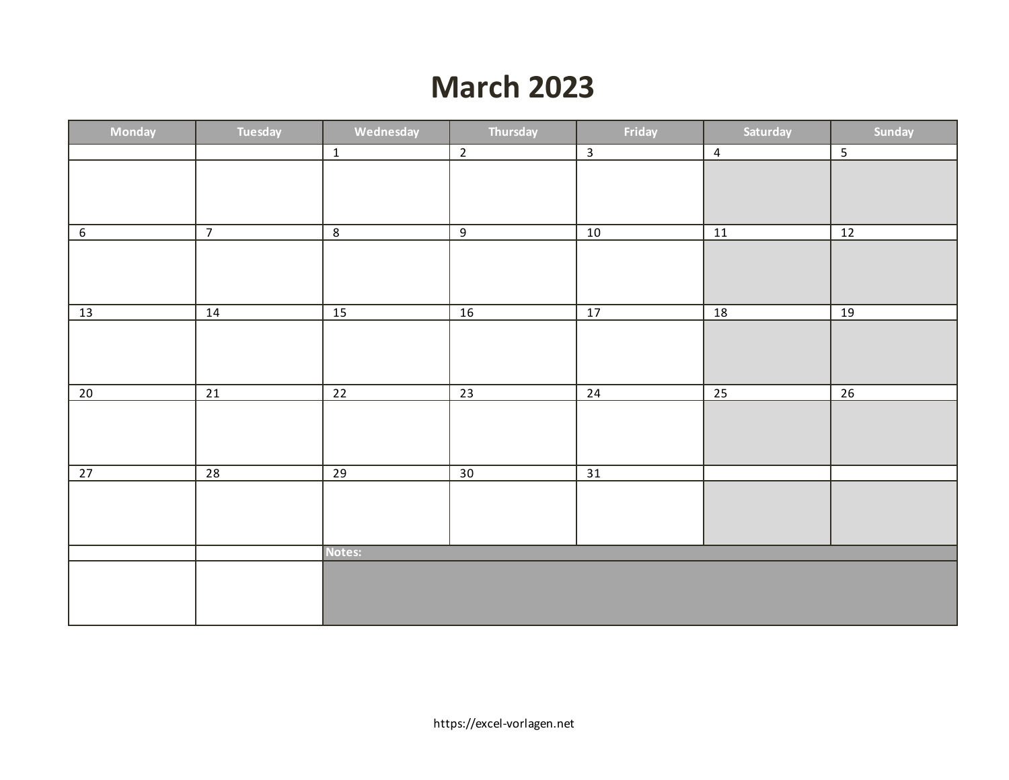### **March 2023**

| Monday     | Tuesday         | Wednesday       | Thursday        | Friday          | Saturday        | Sunday         |
|------------|-----------------|-----------------|-----------------|-----------------|-----------------|----------------|
|            |                 | $\overline{1}$  | $\overline{2}$  | $\overline{3}$  | $\overline{4}$  | $\overline{5}$ |
|            |                 |                 |                 |                 |                 |                |
|            |                 |                 |                 |                 |                 |                |
|            |                 |                 |                 |                 |                 |                |
| $\sqrt{6}$ | $\overline{7}$  | $\overline{8}$  | 9               | 10              | 11              | 12             |
|            |                 |                 |                 |                 |                 |                |
|            |                 |                 |                 |                 |                 |                |
|            |                 |                 |                 |                 |                 |                |
| 13         | 14              | $\overline{15}$ | $\overline{16}$ | $\overline{17}$ | $\overline{18}$ | 19             |
|            |                 |                 |                 |                 |                 |                |
|            |                 |                 |                 |                 |                 |                |
|            |                 |                 |                 |                 |                 |                |
| 20         | 21              | 22              | 23              | 24              | $\overline{25}$ | 26             |
|            |                 |                 |                 |                 |                 |                |
|            |                 |                 |                 |                 |                 |                |
|            |                 |                 |                 |                 |                 |                |
|            |                 |                 |                 |                 |                 |                |
| 27         | $\overline{28}$ | $\overline{29}$ | $\overline{30}$ | $\overline{31}$ |                 |                |
|            |                 |                 |                 |                 |                 |                |
|            |                 |                 |                 |                 |                 |                |
|            |                 |                 |                 |                 |                 |                |
|            |                 | Notes:          |                 |                 |                 |                |
|            |                 |                 |                 |                 |                 |                |
|            |                 |                 |                 |                 |                 |                |
|            |                 |                 |                 |                 |                 |                |
|            |                 |                 |                 |                 |                 |                |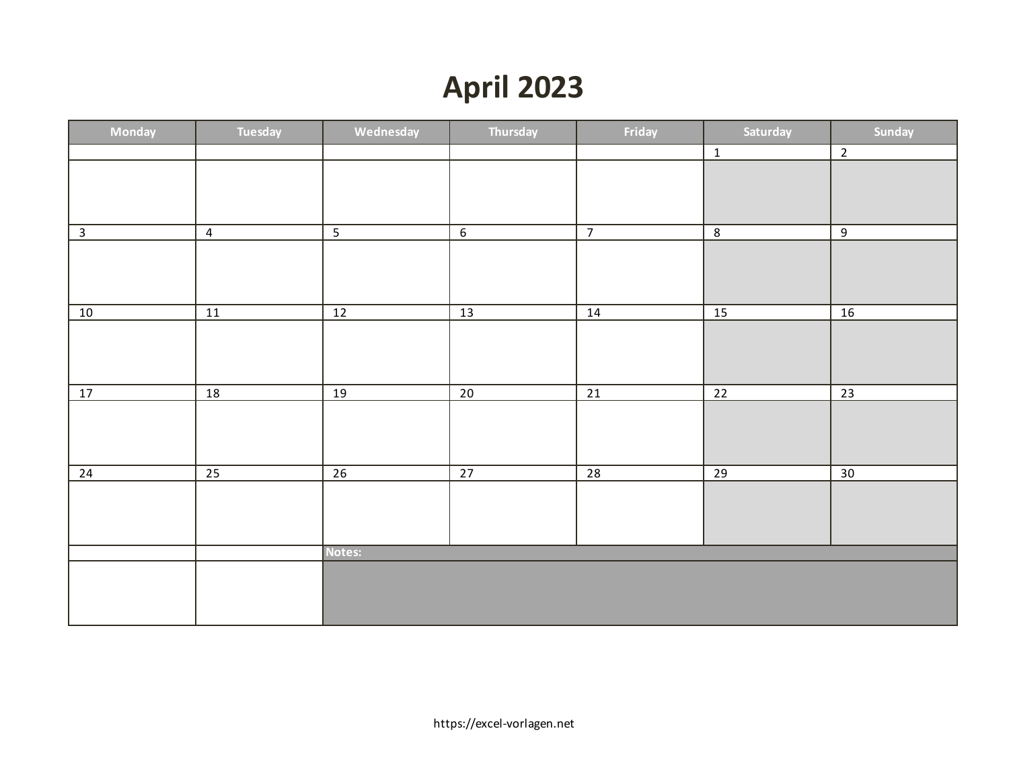# **April 2023**

| Monday                  | Tuesday         | Wednesday       | Thursday        | Friday          | Saturday        | Sunday         |
|-------------------------|-----------------|-----------------|-----------------|-----------------|-----------------|----------------|
|                         |                 |                 |                 |                 | $\mathbf 1$     | $\overline{2}$ |
|                         |                 |                 |                 |                 |                 |                |
|                         |                 |                 |                 |                 |                 |                |
|                         |                 |                 |                 |                 |                 |                |
| $\overline{\mathbf{3}}$ | $\overline{4}$  | $\overline{5}$  | $\overline{6}$  | $\overline{7}$  | $\overline{8}$  | $\overline{9}$ |
|                         |                 |                 |                 |                 |                 |                |
|                         |                 |                 |                 |                 |                 |                |
|                         |                 |                 |                 |                 |                 |                |
| 10                      | 11              | $\overline{12}$ | 13              | 14              | $\overline{15}$ | 16             |
|                         |                 |                 |                 |                 |                 |                |
|                         |                 |                 |                 |                 |                 |                |
|                         |                 |                 |                 |                 |                 |                |
| 17                      | 18              | 19              | 20              | $\overline{21}$ | $\overline{22}$ | 23             |
|                         |                 |                 |                 |                 |                 |                |
|                         |                 |                 |                 |                 |                 |                |
|                         |                 |                 |                 |                 |                 |                |
| 24                      | $\overline{25}$ | $\overline{26}$ | $\overline{27}$ | $\overline{28}$ | $\overline{29}$ | 30             |
|                         |                 |                 |                 |                 |                 |                |
|                         |                 |                 |                 |                 |                 |                |
|                         |                 |                 |                 |                 |                 |                |
|                         |                 | Notes:          |                 |                 |                 |                |
|                         |                 |                 |                 |                 |                 |                |
|                         |                 |                 |                 |                 |                 |                |
|                         |                 |                 |                 |                 |                 |                |
|                         |                 |                 |                 |                 |                 |                |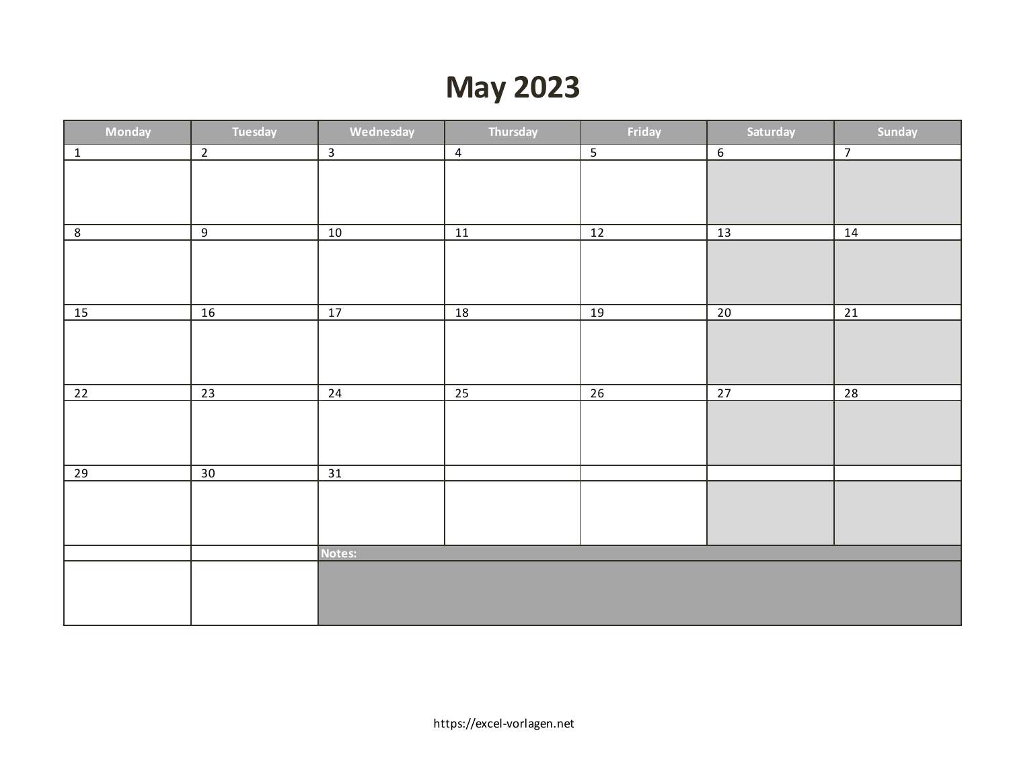## **May 2023**

| Monday          | Tuesday         | Wednesday       | Thursday       | Friday         | Saturday        | Sunday          |
|-----------------|-----------------|-----------------|----------------|----------------|-----------------|-----------------|
| $\boxed{1}$     | $\overline{2}$  | $\overline{3}$  | $\overline{4}$ | $\overline{5}$ | 6               | $\overline{7}$  |
|                 |                 |                 |                |                |                 |                 |
|                 |                 |                 |                |                |                 |                 |
|                 |                 |                 |                |                |                 |                 |
|                 |                 |                 |                |                |                 |                 |
| $\overline{8}$  | $\overline{9}$  | $\overline{10}$ | 11             | 12             | $\overline{13}$ | 14              |
|                 |                 |                 |                |                |                 |                 |
|                 |                 |                 |                |                |                 |                 |
|                 |                 |                 |                |                |                 |                 |
| 15              | 16              | 17              | 18             | 19             | 20              | $\overline{21}$ |
|                 |                 |                 |                |                |                 |                 |
|                 |                 |                 |                |                |                 |                 |
|                 |                 |                 |                |                |                 |                 |
|                 |                 |                 |                |                |                 |                 |
| $\overline{22}$ | 23              | 24              | 25             | 26             | 27              | 28              |
|                 |                 |                 |                |                |                 |                 |
|                 |                 |                 |                |                |                 |                 |
|                 |                 |                 |                |                |                 |                 |
|                 |                 |                 |                |                |                 |                 |
| $\overline{29}$ | $\overline{30}$ | $\overline{31}$ |                |                |                 |                 |
|                 |                 |                 |                |                |                 |                 |
|                 |                 |                 |                |                |                 |                 |
|                 |                 |                 |                |                |                 |                 |
|                 |                 | Notes:          |                |                |                 |                 |
|                 |                 |                 |                |                |                 |                 |
|                 |                 |                 |                |                |                 |                 |
|                 |                 |                 |                |                |                 |                 |
|                 |                 |                 |                |                |                 |                 |
|                 |                 |                 |                |                |                 |                 |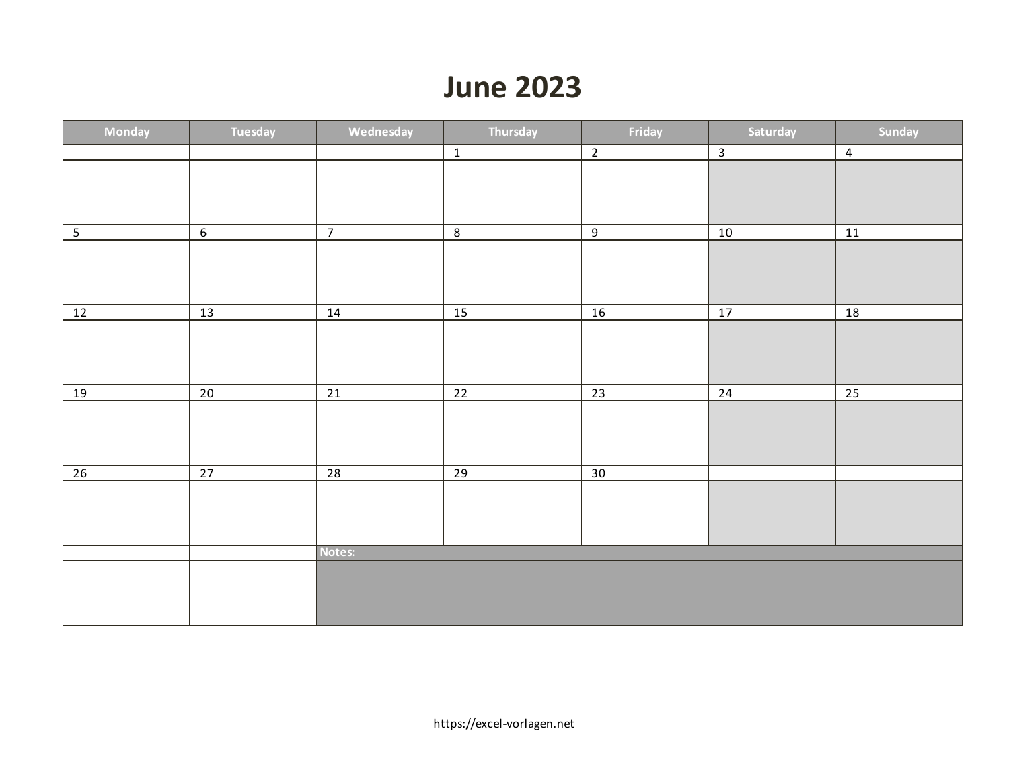### **June 2023**

| Monday          | Tuesday         | Wednesday       | Thursday        | Friday          | Saturday | Sunday          |
|-----------------|-----------------|-----------------|-----------------|-----------------|----------|-----------------|
|                 |                 |                 | $\overline{1}$  | $\overline{2}$  |          | $\overline{4}$  |
|                 |                 |                 |                 |                 |          |                 |
|                 |                 |                 |                 |                 |          |                 |
|                 |                 |                 |                 |                 |          |                 |
| $5\phantom{.0}$ | $6\phantom{.}6$ | $\overline{7}$  | $8\phantom{1}$  | 9               | 10       | 11              |
|                 |                 |                 |                 |                 |          |                 |
|                 |                 |                 |                 |                 |          |                 |
|                 |                 |                 |                 |                 |          |                 |
| 12              | 13              | 14              | 15              | 16              | 17       | 18              |
|                 |                 |                 |                 |                 |          |                 |
|                 |                 |                 |                 |                 |          |                 |
|                 |                 |                 |                 |                 |          |                 |
| <u>19</u>       | 20              | 21              | 22              | $\overline{23}$ | 24       | $\overline{25}$ |
|                 |                 |                 |                 |                 |          |                 |
|                 |                 |                 |                 |                 |          |                 |
|                 |                 |                 |                 |                 |          |                 |
|                 |                 |                 |                 |                 |          |                 |
| $\overline{26}$ | $\overline{27}$ | $\overline{28}$ | $\overline{29}$ | $\overline{30}$ |          |                 |
|                 |                 |                 |                 |                 |          |                 |
|                 |                 |                 |                 |                 |          |                 |
|                 |                 |                 |                 |                 |          |                 |
|                 |                 | Notes:          |                 |                 |          |                 |
|                 |                 |                 |                 |                 |          |                 |
|                 |                 |                 |                 |                 |          |                 |
|                 |                 |                 |                 |                 |          |                 |
|                 |                 |                 |                 |                 |          |                 |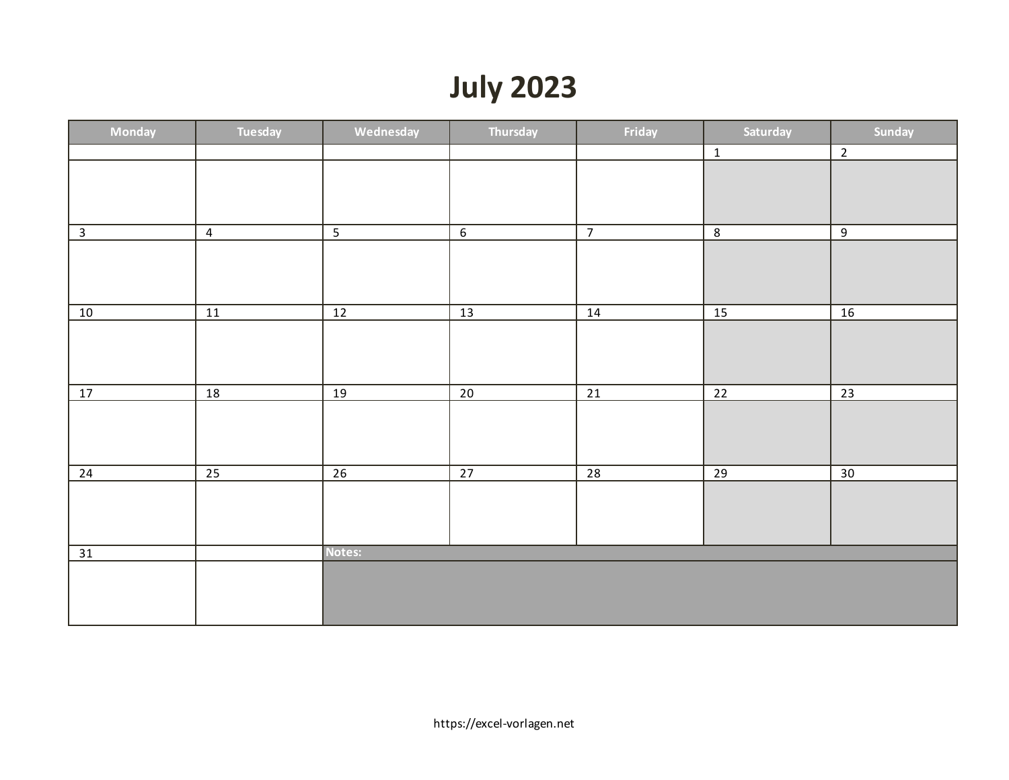# **July 2023**

| Monday       | Tuesday        | Wednesday       | Thursday         | Friday          | Saturday        | Sunday          |
|--------------|----------------|-----------------|------------------|-----------------|-----------------|-----------------|
|              |                |                 |                  |                 | $\overline{1}$  | $\overline{2}$  |
|              |                |                 |                  |                 |                 |                 |
|              |                |                 |                  |                 |                 |                 |
|              |                |                 |                  |                 |                 |                 |
| $\mathbf{3}$ | $\overline{4}$ | $\overline{5}$  | $\boldsymbol{6}$ | $\overline{7}$  | $\overline{8}$  | $\overline{9}$  |
|              |                |                 |                  |                 |                 |                 |
|              |                |                 |                  |                 |                 |                 |
|              |                |                 |                  |                 |                 |                 |
| 10           | ${\bf 11}$     | 12              | 13               | 14              | 15              | 16              |
|              |                |                 |                  |                 |                 |                 |
|              |                |                 |                  |                 |                 |                 |
|              |                |                 |                  |                 |                 |                 |
| 17           | 18             | $\overline{19}$ | 20               | $\overline{21}$ | $\overline{22}$ | $\overline{23}$ |
|              |                |                 |                  |                 |                 |                 |
|              |                |                 |                  |                 |                 |                 |
|              |                |                 |                  |                 |                 |                 |
|              |                |                 |                  |                 |                 |                 |
| 24           | 25             | $\overline{26}$ | 27               | $\overline{28}$ | $\overline{29}$ | 30              |
|              |                |                 |                  |                 |                 |                 |
|              |                |                 |                  |                 |                 |                 |
|              |                |                 |                  |                 |                 |                 |
| 31           |                | Notes:          |                  |                 |                 |                 |
|              |                |                 |                  |                 |                 |                 |
|              |                |                 |                  |                 |                 |                 |
|              |                |                 |                  |                 |                 |                 |
|              |                |                 |                  |                 |                 |                 |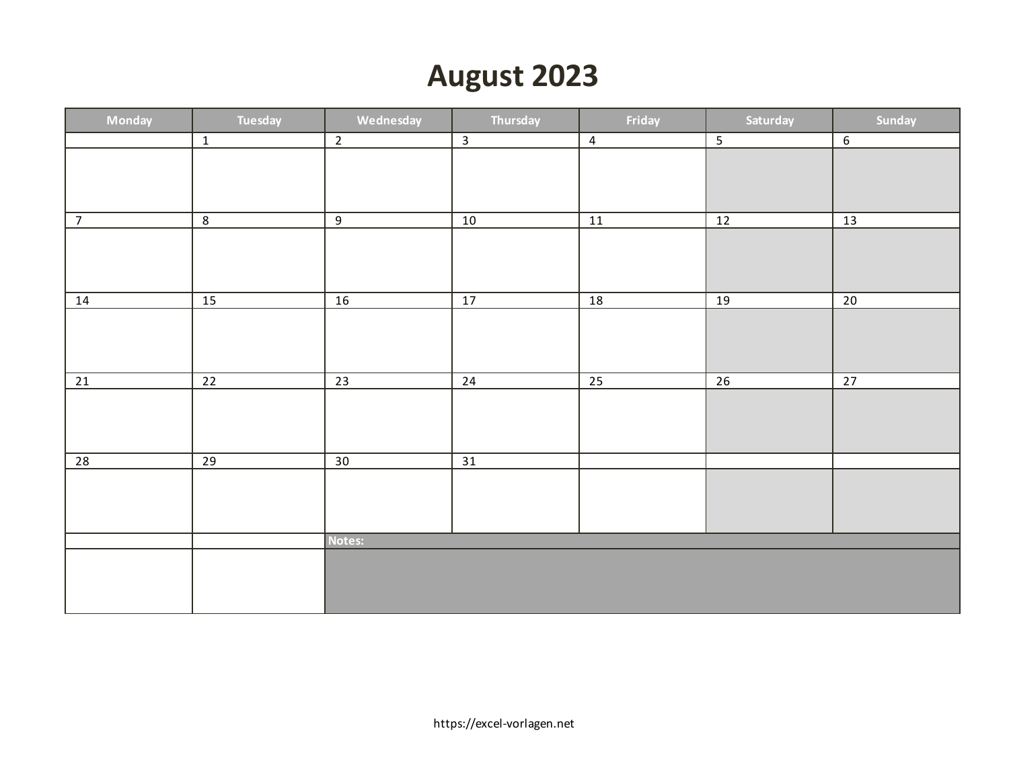### **August 2023**

| Monday          | Tuesday         | Wednesday       | Thursday        | Friday         | Saturday                 | Sunday         |
|-----------------|-----------------|-----------------|-----------------|----------------|--------------------------|----------------|
|                 | $\mathbf{1}$    | $\overline{2}$  | $\overline{3}$  | $\overline{4}$ | $\overline{\phantom{0}}$ | $\overline{6}$ |
|                 |                 |                 |                 |                |                          |                |
|                 |                 |                 |                 |                |                          |                |
|                 |                 |                 |                 |                |                          |                |
| $\overline{7}$  | $\overline{8}$  | $\overline{9}$  | 10              | 11             | 12                       | 13             |
|                 |                 |                 |                 |                |                          |                |
|                 |                 |                 |                 |                |                          |                |
|                 |                 |                 |                 |                |                          |                |
| 14              | 15              | 16              | 17              | 18             | 19                       | 20             |
|                 |                 |                 |                 |                |                          |                |
|                 |                 |                 |                 |                |                          |                |
|                 |                 |                 |                 |                |                          |                |
| 21              | 22              | $\overline{23}$ | 24              | 25             | 26                       | 27             |
|                 |                 |                 |                 |                |                          |                |
|                 |                 |                 |                 |                |                          |                |
|                 |                 |                 |                 |                |                          |                |
|                 |                 |                 |                 |                |                          |                |
| $\overline{28}$ | $\overline{29}$ | $\overline{30}$ | $\overline{31}$ |                |                          |                |
|                 |                 |                 |                 |                |                          |                |
|                 |                 |                 |                 |                |                          |                |
|                 |                 |                 |                 |                |                          |                |
|                 |                 | Notes:          |                 |                |                          |                |
|                 |                 |                 |                 |                |                          |                |
|                 |                 |                 |                 |                |                          |                |
|                 |                 |                 |                 |                |                          |                |
|                 |                 |                 |                 |                |                          |                |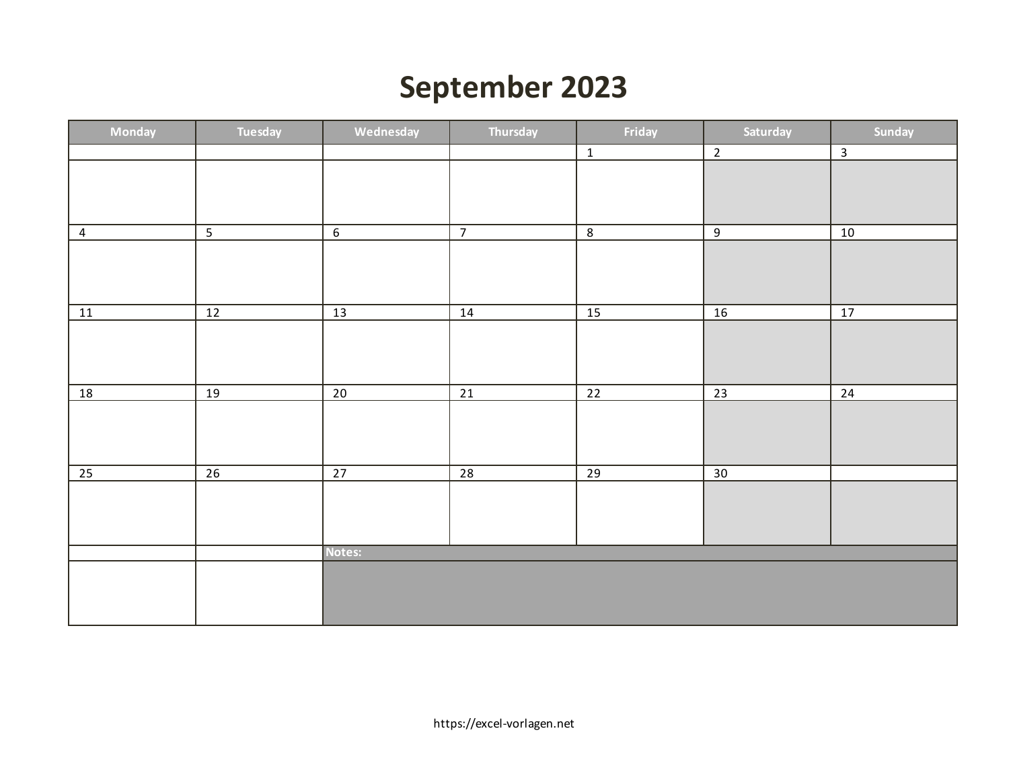## **September 2023**

| Monday         | Tuesday         | Wednesday       | Thursday        | Friday          | Saturday        | Sunday         |
|----------------|-----------------|-----------------|-----------------|-----------------|-----------------|----------------|
|                |                 |                 |                 | $\overline{1}$  | $\overline{2}$  | $\overline{3}$ |
|                |                 |                 |                 |                 |                 |                |
|                |                 |                 |                 |                 |                 |                |
|                |                 |                 |                 |                 |                 |                |
| $\overline{4}$ | $\overline{5}$  | 6               | $\overline{7}$  | $\overline{8}$  | $\overline{9}$  | 10             |
|                |                 |                 |                 |                 |                 |                |
|                |                 |                 |                 |                 |                 |                |
|                |                 |                 |                 |                 |                 |                |
| 11             | 12              | 13              | 14              | 15              | 16              | 17             |
|                |                 |                 |                 |                 |                 |                |
|                |                 |                 |                 |                 |                 |                |
|                |                 |                 |                 |                 |                 |                |
| <u>18</u>      | 19              | 20              | $\overline{21}$ | 22              | 23              | 24             |
|                |                 |                 |                 |                 |                 |                |
|                |                 |                 |                 |                 |                 |                |
|                |                 |                 |                 |                 |                 |                |
| 25             | $\overline{26}$ | $\overline{27}$ | $\overline{28}$ | $\overline{29}$ | $\overline{30}$ |                |
|                |                 |                 |                 |                 |                 |                |
|                |                 |                 |                 |                 |                 |                |
|                |                 |                 |                 |                 |                 |                |
|                |                 | Notes:          |                 |                 |                 |                |
|                |                 |                 |                 |                 |                 |                |
|                |                 |                 |                 |                 |                 |                |
|                |                 |                 |                 |                 |                 |                |
|                |                 |                 |                 |                 |                 |                |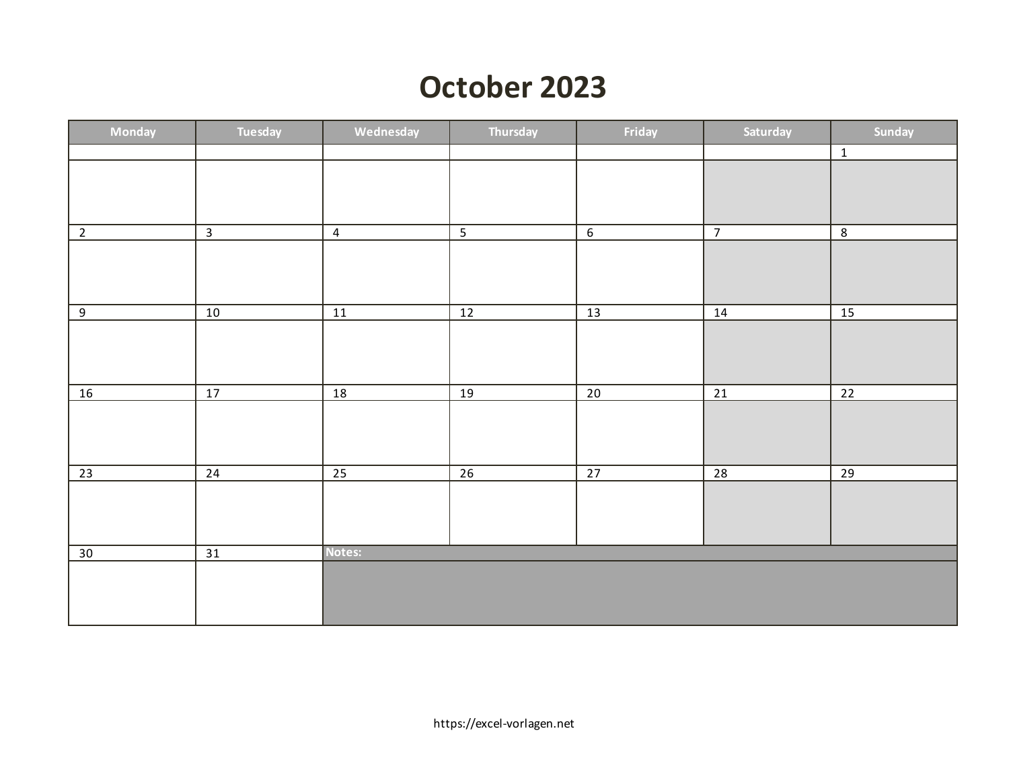### **October 2023**

| Monday         | Tuesday         | Wednesday       | Thursday        | Friday          | Saturday        | Sunday          |
|----------------|-----------------|-----------------|-----------------|-----------------|-----------------|-----------------|
|                |                 |                 |                 |                 |                 | $\overline{1}$  |
|                |                 |                 |                 |                 |                 |                 |
|                |                 |                 |                 |                 |                 |                 |
|                |                 |                 |                 |                 |                 |                 |
| $\overline{2}$ | $\overline{3}$  | $\overline{4}$  | $\overline{5}$  | 6               | $\overline{7}$  | $\overline{8}$  |
|                |                 |                 |                 |                 |                 |                 |
|                |                 |                 |                 |                 |                 |                 |
|                |                 |                 |                 |                 |                 |                 |
| 9              | 10              | 11              | $12$            | 13              | 14              | 15              |
|                |                 |                 |                 |                 |                 |                 |
|                |                 |                 |                 |                 |                 |                 |
|                |                 |                 |                 |                 |                 |                 |
| 16             | $\overline{17}$ | $\overline{18}$ | 19              | $\overline{20}$ | $\overline{21}$ | $\overline{22}$ |
|                |                 |                 |                 |                 |                 |                 |
|                |                 |                 |                 |                 |                 |                 |
|                |                 |                 |                 |                 |                 |                 |
|                |                 |                 |                 |                 |                 |                 |
| 23             | 24              | $\overline{25}$ | $\overline{26}$ | $\overline{27}$ | $\overline{28}$ | $\overline{29}$ |
|                |                 |                 |                 |                 |                 |                 |
|                |                 |                 |                 |                 |                 |                 |
|                |                 |                 |                 |                 |                 |                 |
| 30             | 31              | Notes:          |                 |                 |                 |                 |
|                |                 |                 |                 |                 |                 |                 |
|                |                 |                 |                 |                 |                 |                 |
|                |                 |                 |                 |                 |                 |                 |
|                |                 |                 |                 |                 |                 |                 |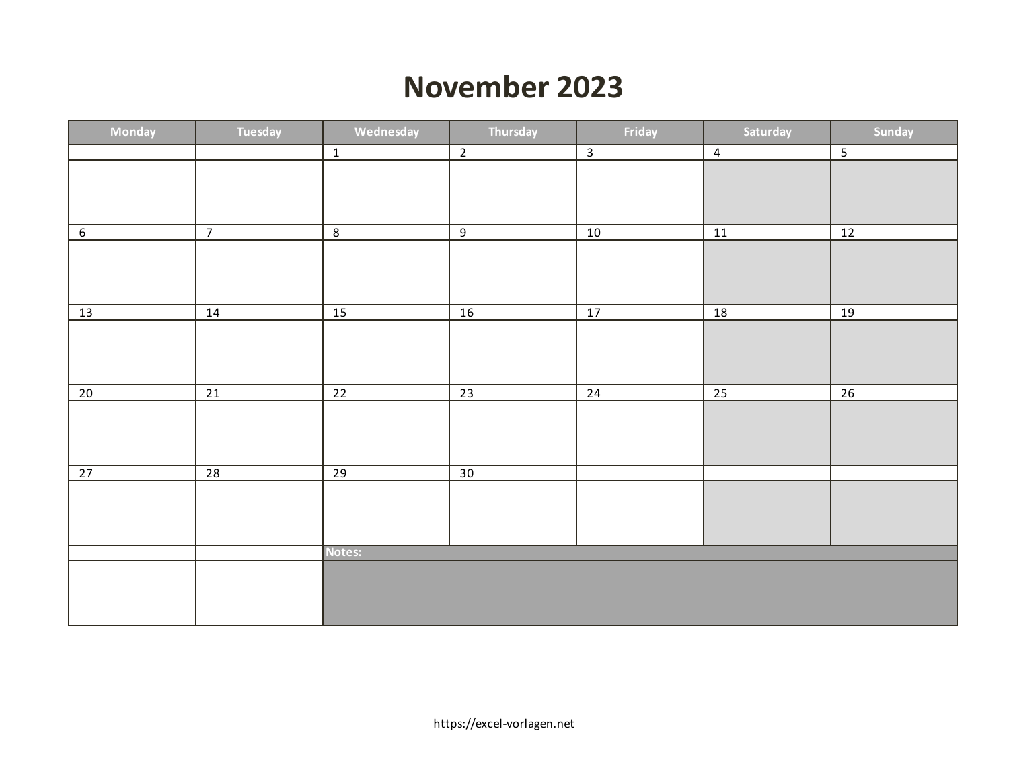#### **November 2023**

| Monday         | Tuesday         | Wednesday       | Thursday       | Friday         | Saturday       | Sunday         |
|----------------|-----------------|-----------------|----------------|----------------|----------------|----------------|
|                |                 | $\overline{1}$  | $\overline{2}$ | $\overline{3}$ | $\overline{4}$ | $\overline{5}$ |
|                |                 |                 |                |                |                |                |
|                |                 |                 |                |                |                |                |
|                |                 |                 |                |                |                |                |
| $\overline{6}$ | $\overline{7}$  | $\overline{8}$  | $\overline{9}$ | 10             | 11             | 12             |
|                |                 |                 |                |                |                |                |
|                |                 |                 |                |                |                |                |
|                |                 |                 |                |                |                |                |
| 13             | 14              | 15              | 16             | 17             | 18             | 19             |
|                |                 |                 |                |                |                |                |
|                |                 |                 |                |                |                |                |
|                |                 |                 |                |                |                |                |
| 20             | 21              | $\overline{22}$ | 23             | 24             | 25             | 26             |
|                |                 |                 |                |                |                |                |
|                |                 |                 |                |                |                |                |
|                |                 |                 |                |                |                |                |
|                |                 |                 |                |                |                |                |
| 27             | $\overline{28}$ | $\overline{29}$ | 30             |                |                |                |
|                |                 |                 |                |                |                |                |
|                |                 |                 |                |                |                |                |
|                |                 |                 |                |                |                |                |
|                |                 | Notes:          |                |                |                |                |
|                |                 |                 |                |                |                |                |
|                |                 |                 |                |                |                |                |
|                |                 |                 |                |                |                |                |
|                |                 |                 |                |                |                |                |